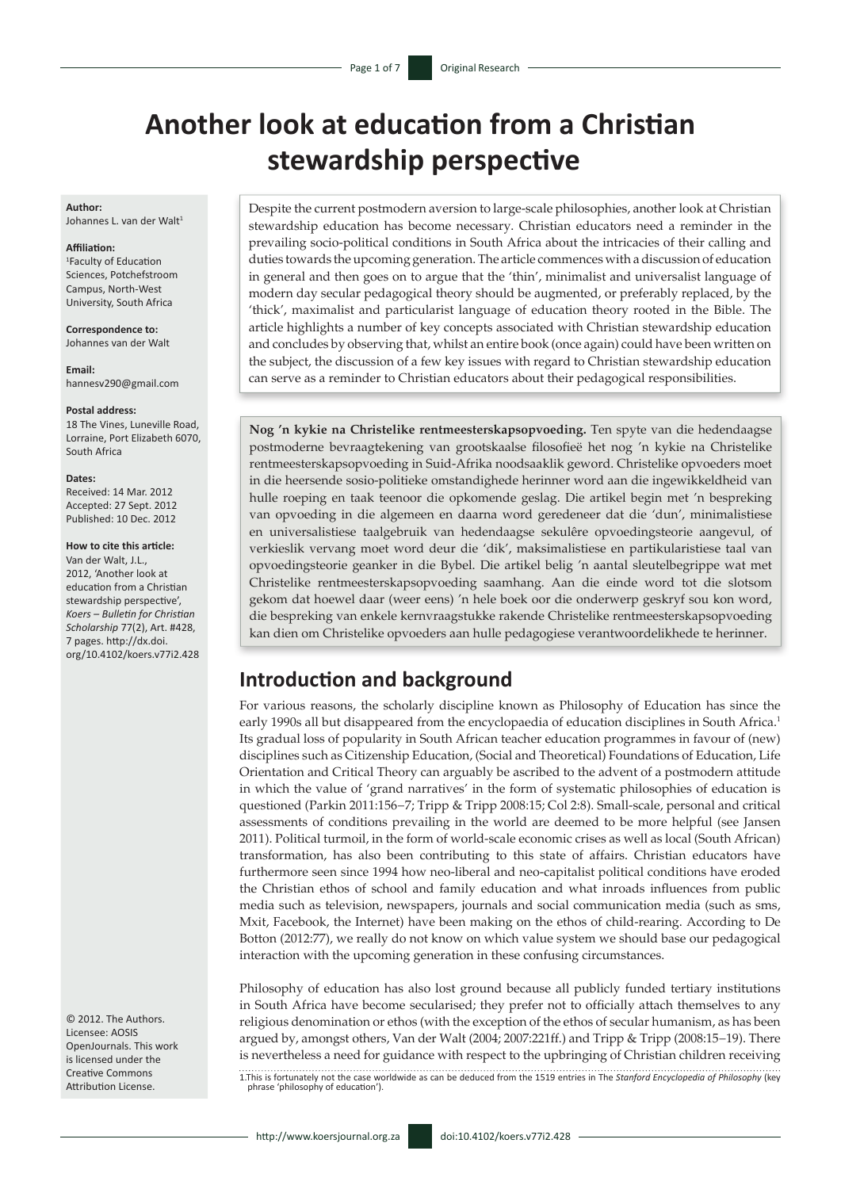# **Another look at education from a Christian stewardship perspective**

### **Author:**

Johannes L. van der Walt<sup>1</sup>

#### **Affiliation:**

1 Faculty of Education Sciences, Potchefstroom Campus, North-West University, South Africa

**Correspondence to:** Johannes van der Walt

**Email:** [hannesv290@gmail.com](mailto:hannesv290@gmail.com)

#### **Postal address:**

18 The Vines, Luneville Road, Lorraine, Port Elizabeth 6070, South Africa

#### **Dates:**

Received: 14 Mar. 2012 Accepted: 27 Sept. 2012 Published: 10 Dec. 2012

#### **How to cite this article:**

Van der Walt, J.L., 2012, 'Another look at education from a Christian stewardship perspective', *Koers – Bulletin for Christian Scholarship* 77(2), Art. #428, 7 pages. [http://dx.doi.](http://dx.doi.org/10.4102/koers.v77i2.428) [org/10.4102/koers.v77i2.428](http://dx.doi.org/10.4102/koers.v77i2.428)

© 2012. The Authors. Licensee: AOSIS OpenJournals. This work is licensed under the Creative Commons Attribution License.

Despite the current postmodern aversion to large-scale philosophies, another look at Christian stewardship education has become necessary. Christian educators need a reminder in the prevailing socio-political conditions in South Africa about the intricacies of their calling and duties towards the upcoming generation. The article commences with a discussion of education in general and then goes on to argue that the 'thin', minimalist and universalist language of modern day secular pedagogical theory should be augmented, or preferably replaced, by the 'thick', maximalist and particularist language of education theory rooted in the Bible. The article highlights a number of key concepts associated with Christian stewardship education and concludes by observing that, whilst an entire book (once again) could have been written on the subject, the discussion of a few key issues with regard to Christian stewardship education can serve as a reminder to Christian educators about their pedagogical responsibilities.

**Nog 'n kykie na Christelike rentmeesterskapsopvoeding.** Ten spyte van die hedendaagse postmoderne bevraagtekening van grootskaalse filosofieë het nog 'n kykie na Christelike rentmeesterskapsopvoeding in Suid-Afrika noodsaaklik geword. Christelike opvoeders moet in die heersende sosio-politieke omstandighede herinner word aan die ingewikkeldheid van hulle roeping en taak teenoor die opkomende geslag. Die artikel begin met 'n bespreking van opvoeding in die algemeen en daarna word geredeneer dat die 'dun', minimalistiese en universalistiese taalgebruik van hedendaagse sekulêre opvoedingsteorie aangevul, of verkieslik vervang moet word deur die 'dik', maksimalistiese en partikularistiese taal van opvoedingsteorie geanker in die Bybel. Die artikel belig 'n aantal sleutelbegrippe wat met Christelike rentmeesterskapsopvoeding saamhang. Aan die einde word tot die slotsom gekom dat hoewel daar (weer eens) 'n hele boek oor die onderwerp geskryf sou kon word, die bespreking van enkele kernvraagstukke rakende Christelike rentmeesterskapsopvoeding kan dien om Christelike opvoeders aan hulle pedagogiese verantwoordelikhede te herinner.

## **Introduction and background**

For various reasons, the scholarly discipline known as Philosophy of Education has since the early 1990s all but disappeared from the encyclopaedia of education disciplines in South Africa.<sup>1</sup> Its gradual loss of popularity in South African teacher education programmes in favour of (new) disciplines such as Citizenship Education, (Social and Theoretical) Foundations of Education, Life Orientation and Critical Theory can arguably be ascribed to the advent of a postmodern attitude in which the value of 'grand narratives' in the form of systematic philosophies of education is questioned (Parkin 2011:156−7; Tripp & Tripp 2008:15; Col 2:8). Small-scale, personal and critical assessments of conditions prevailing in the world are deemed to be more helpful (see Jansen 2011). Political turmoil, in the form of world-scale economic crises as well as local (South African) transformation, has also been contributing to this state of affairs. Christian educators have furthermore seen since 1994 how neo-liberal and neo-capitalist political conditions have eroded the Christian ethos of school and family education and what inroads influences from public media such as television, newspapers, journals and social communication media (such as sms, Mxit, Facebook, the Internet) have been making on the ethos of child-rearing. According to De Botton (2012:77), we really do not know on which value system we should base our pedagogical interaction with the upcoming generation in these confusing circumstances.

Philosophy of education has also lost ground because all publicly funded tertiary institutions in South Africa have become secularised; they prefer not to officially attach themselves to any religious denomination or ethos (with the exception of the ethos of secular humanism, as has been argued by, amongst others, Van der Walt (2004; 2007:221ff.) and Tripp & Tripp (2008:15−19). There is nevertheless a need for guidance with respect to the upbringing of Christian children receiving

1.This is fortunately not the case worldwide as can be deduced from the 1519 entries in The *Stanford Encyclopedia of Philosophy* (key phrase 'philosophy of education').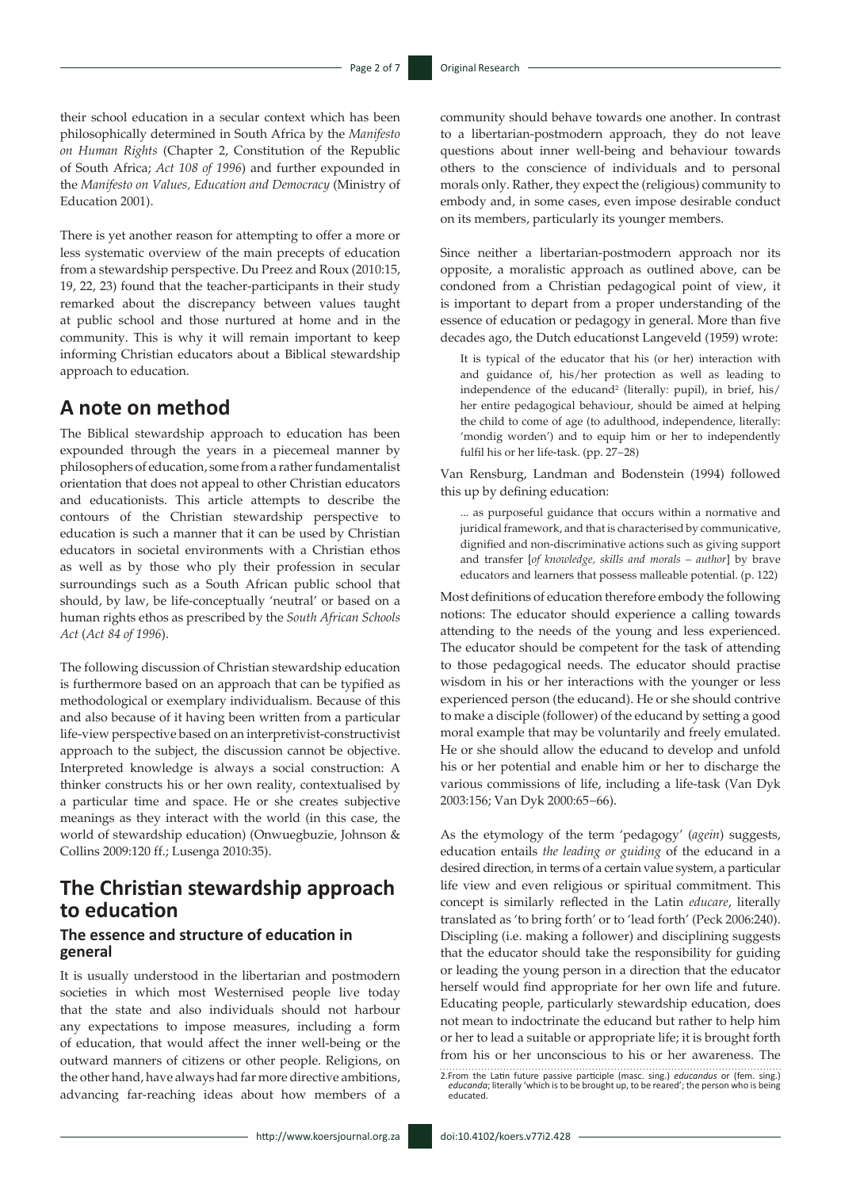their school education in a secular context which has been philosophically determined in South Africa by the *Manifesto on Human Rights* (Chapter 2, Constitution of the Republic of South Africa; *Act 108 of 1996*) and further expounded in the *Manifesto on Values, Education and Democracy* (Ministry of Education 2001).

There is yet another reason for attempting to offer a more or less systematic overview of the main precepts of education from a stewardship perspective. Du Preez and Roux (2010:15, 19, 22, 23) found that the teacher-participants in their study remarked about the discrepancy between values taught at public school and those nurtured at home and in the community. This is why it will remain important to keep informing Christian educators about a Biblical stewardship approach to education.

### **A note on method**

The Biblical stewardship approach to education has been expounded through the years in a piecemeal manner by philosophers of education, some from a rather fundamentalist orientation that does not appeal to other Christian educators and educationists. This article attempts to describe the contours of the Christian stewardship perspective to education is such a manner that it can be used by Christian educators in societal environments with a Christian ethos as well as by those who ply their profession in secular surroundings such as a South African public school that should, by law, be life-conceptually 'neutral' or based on a human rights ethos as prescribed by the *South African Schools Act* (*Act 84 of 1996*).

The following discussion of Christian stewardship education is furthermore based on an approach that can be typified as methodological or exemplary individualism. Because of this and also because of it having been written from a particular life-view perspective based on an interpretivist-constructivist approach to the subject, the discussion cannot be objective. Interpreted knowledge is always a social construction: A thinker constructs his or her own reality, contextualised by a particular time and space. He or she creates subjective meanings as they interact with the world (in this case, the world of stewardship education) (Onwuegbuzie, Johnson & Collins 2009:120 ff.; Lusenga 2010:35).

# **The Christian stewardship approach to education**

### **The essence and structure of education in general**

It is usually understood in the libertarian and postmodern societies in which most Westernised people live today that the state and also individuals should not harbour any expectations to impose measures, including a form of education, that would affect the inner well-being or the outward manners of citizens or other people. Religions, on the other hand, have always had far more directive ambitions, advancing far-reaching ideas about how members of a community should behave towards one another. In contrast to a libertarian-postmodern approach, they do not leave questions about inner well-being and behaviour towards others to the conscience of individuals and to personal morals only. Rather, they expect the (religious) community to embody and, in some cases, even impose desirable conduct on its members, particularly its younger members.

Since neither a libertarian-postmodern approach nor its opposite, a moralistic approach as outlined above, can be condoned from a Christian pedagogical point of view, it is important to depart from a proper understanding of the essence of education or pedagogy in general. More than five decades ago, the Dutch educationst Langeveld (1959) wrote:

It is typical of the educator that his (or her) interaction with and guidance of, his/her protection as well as leading to independence of the educand<sup>2</sup> (literally: pupil), in brief, his/ her entire pedagogical behaviour, should be aimed at helping the child to come of age (to adulthood, independence, literally: 'mondig worden') and to equip him or her to independently fulfil his or her life-task. (pp. 27−28)

Van Rensburg, Landman and Bodenstein (1994) followed this up by defining education:

... as purposeful guidance that occurs within a normative and juridical framework, and that is characterised by communicative, dignified and non-discriminative actions such as giving support and transfer [*of knowledge, skills and morals – author*] by brave educators and learners that possess malleable potential. (p. 122)

Most definitions of education therefore embody the following notions: The educator should experience a calling towards attending to the needs of the young and less experienced. The educator should be competent for the task of attending to those pedagogical needs. The educator should practise wisdom in his or her interactions with the younger or less experienced person (the educand). He or she should contrive to make a disciple (follower) of the educand by setting a good moral example that may be voluntarily and freely emulated. He or she should allow the educand to develop and unfold his or her potential and enable him or her to discharge the various commissions of life, including a life-task (Van Dyk 2003:156; Van Dyk 2000:65−66).

As the etymology of the term 'pedagogy' (*agein*) suggests, education entails *the leading or guiding* of the educand in a desired direction*,* in terms of a certain value system, a particular life view and even religious or spiritual commitment. This concept is similarly reflected in the Latin *educare*, literally translated as 'to bring forth' or to 'lead forth' (Peck 2006:240). Discipling (i.e. making a follower) and disciplining suggests that the educator should take the responsibility for guiding or leading the young person in a direction that the educator herself would find appropriate for her own life and future. Educating people, particularly stewardship education, does not mean to indoctrinate the educand but rather to help him or her to lead a suitable or appropriate life; it is brought forth from his or her unconscious to his or her awareness. The

<sup>2.</sup>From the Latin future passive participle (masc. sing.) *educandus* or (fem. sing.) *educanda*; literally 'which is to be brought up, to be reared'; the person who is being educated.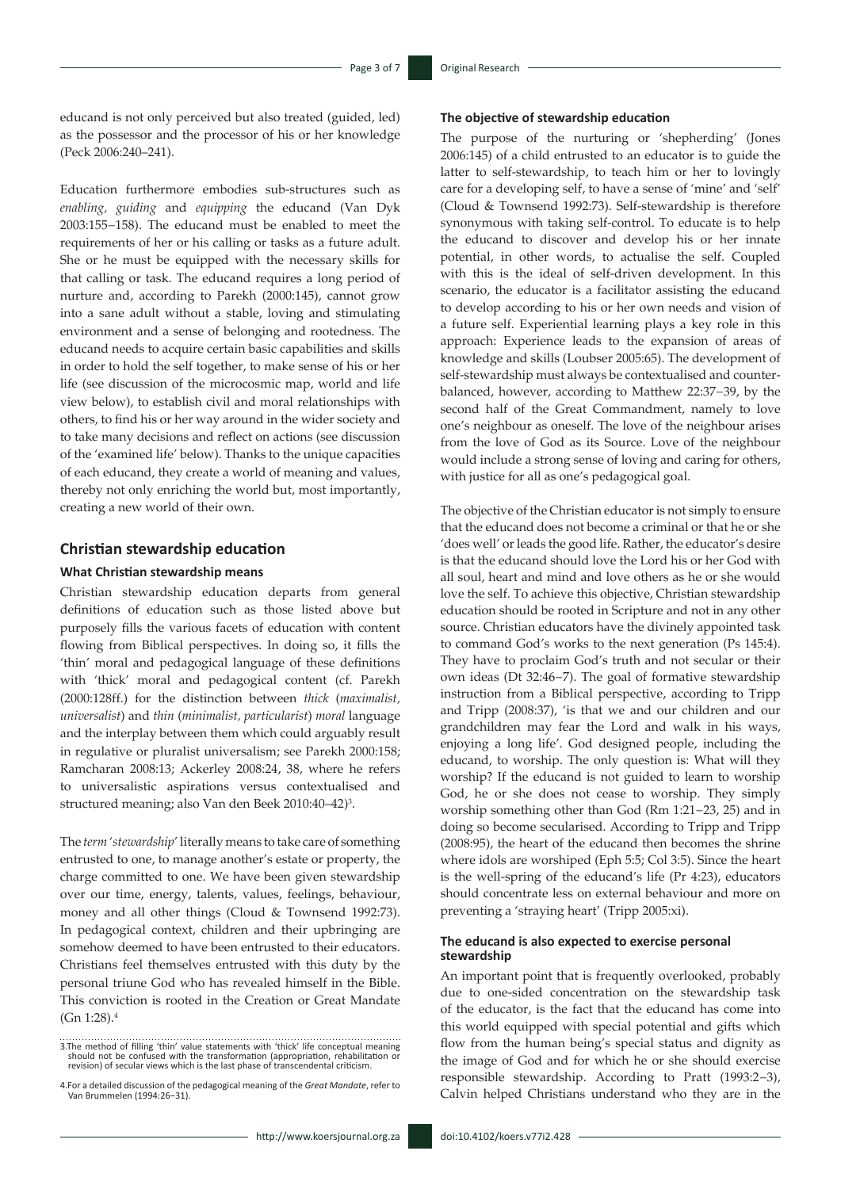educand is not only perceived but also treated (guided, led) as the possessor and the processor of his or her knowledge (Peck 2006:240–241).

Education furthermore embodies sub-structures such as *enabling, guiding* and *equipping* the educand (Van Dyk 2003:155−158). The educand must be enabled to meet the requirements of her or his calling or tasks as a future adult. She or he must be equipped with the necessary skills for that calling or task. The educand requires a long period of nurture and, according to Parekh (2000:145), cannot grow into a sane adult without a stable, loving and stimulating environment and a sense of belonging and rootedness. The educand needs to acquire certain basic capabilities and skills in order to hold the self together, to make sense of his or her life (see discussion of the microcosmic map, world and life view below), to establish civil and moral relationships with others, to find his or her way around in the wider society and to take many decisions and reflect on actions (see discussion of the 'examined life' below). Thanks to the unique capacities of each educand, they create a world of meaning and values, thereby not only enriching the world but, most importantly, creating a new world of their own.

### **Christian stewardship education**

#### **What Christian stewardship means**

Christian stewardship education departs from general definitions of education such as those listed above but purposely fills the various facets of education with content flowing from Biblical perspectives. In doing so, it fills the 'thin' moral and pedagogical language of these definitions with 'thick' moral and pedagogical content (cf. Parekh (2000:128ff.) for the distinction between *thick* (*maximalist, universalist*) and *thin* (*minimalist, particularist*) *moral* language and the interplay between them which could arguably result in regulative or pluralist universalism; see Parekh 2000:158; Ramcharan 2008:13; Ackerley 2008:24, 38, where he refers to universalistic aspirations versus contextualised and structured meaning; also Van den Beek 2010:40–42)3 .

The *term* '*stewardship*' literally means to take care of something entrusted to one, to manage another's estate or property, the charge committed to one. We have been given stewardship over our time, energy, talents, values, feelings, behaviour, money and all other things (Cloud & Townsend 1992:73). In pedagogical context, children and their upbringing are somehow deemed to have been entrusted to their educators. Christians feel themselves entrusted with this duty by the personal triune God who has revealed himself in the Bible. This conviction is rooted in the Creation or Great Mandate  $(Gn 1:28).4$ 

#### **The objective of stewardship education**

The purpose of the nurturing or 'shepherding' (Jones 2006:145) of a child entrusted to an educator is to guide the latter to self-stewardship, to teach him or her to lovingly care for a developing self, to have a sense of 'mine' and 'self' (Cloud & Townsend 1992:73). Self-stewardship is therefore synonymous with taking self-control. To educate is to help the educand to discover and develop his or her innate potential, in other words, to actualise the self. Coupled with this is the ideal of self-driven development. In this scenario, the educator is a facilitator assisting the educand to develop according to his or her own needs and vision of a future self. Experiential learning plays a key role in this approach: Experience leads to the expansion of areas of knowledge and skills (Loubser 2005:65). The development of self-stewardship must always be contextualised and counterbalanced, however, according to Matthew 22:37−39, by the second half of the Great Commandment, namely to love one's neighbour as oneself. The love of the neighbour arises from the love of God as its Source. Love of the neighbour would include a strong sense of loving and caring for others, with justice for all as one's pedagogical goal.

The objective of the Christian educator is not simply to ensure that the educand does not become a criminal or that he or she 'does well' or leads the good life. Rather, the educator's desire is that the educand should love the Lord his or her God with all soul, heart and mind and love others as he or she would love the self. To achieve this objective, Christian stewardship education should be rooted in Scripture and not in any other source. Christian educators have the divinely appointed task to command God's works to the next generation (Ps 145:4). They have to proclaim God's truth and not secular or their own ideas (Dt 32:46−7). The goal of formative stewardship instruction from a Biblical perspective, according to Tripp and Tripp (2008:37), 'is that we and our children and our grandchildren may fear the Lord and walk in his ways, enjoying a long life'. God designed people, including the educand, to worship. The only question is: What will they worship? If the educand is not guided to learn to worship God, he or she does not cease to worship. They simply worship something other than God (Rm 1:21−23, 25) and in doing so become secularised. According to Tripp and Tripp (2008:95), the heart of the educand then becomes the shrine where idols are worshiped (Eph 5:5; Col 3:5). Since the heart is the well-spring of the educand's life (Pr 4:23), educators should concentrate less on external behaviour and more on preventing a 'straying heart' (Tripp 2005:xi).

#### **The educand is also expected to exercise personal stewardship**

An important point that is frequently overlooked, probably due to one-sided concentration on the stewardship task of the educator, is the fact that the educand has come into this world equipped with special potential and gifts which flow from the human being's special status and dignity as the image of God and for which he or she should exercise responsible stewardship. According to Pratt (1993:2−3), Calvin helped Christians understand who they are in the

<sup>3.</sup>The method of filling 'thin' value statements with 'thick' life conceptual meaning should not be confused with the transformation (appropriation, rehabilitation or revision) of secular views which is the last phase of transcendental criticism.

<sup>4.</sup>For a detailed discussion of the pedagogical meaning of the *Great Mandate*, refer to Van Brummelen (1994:26−31).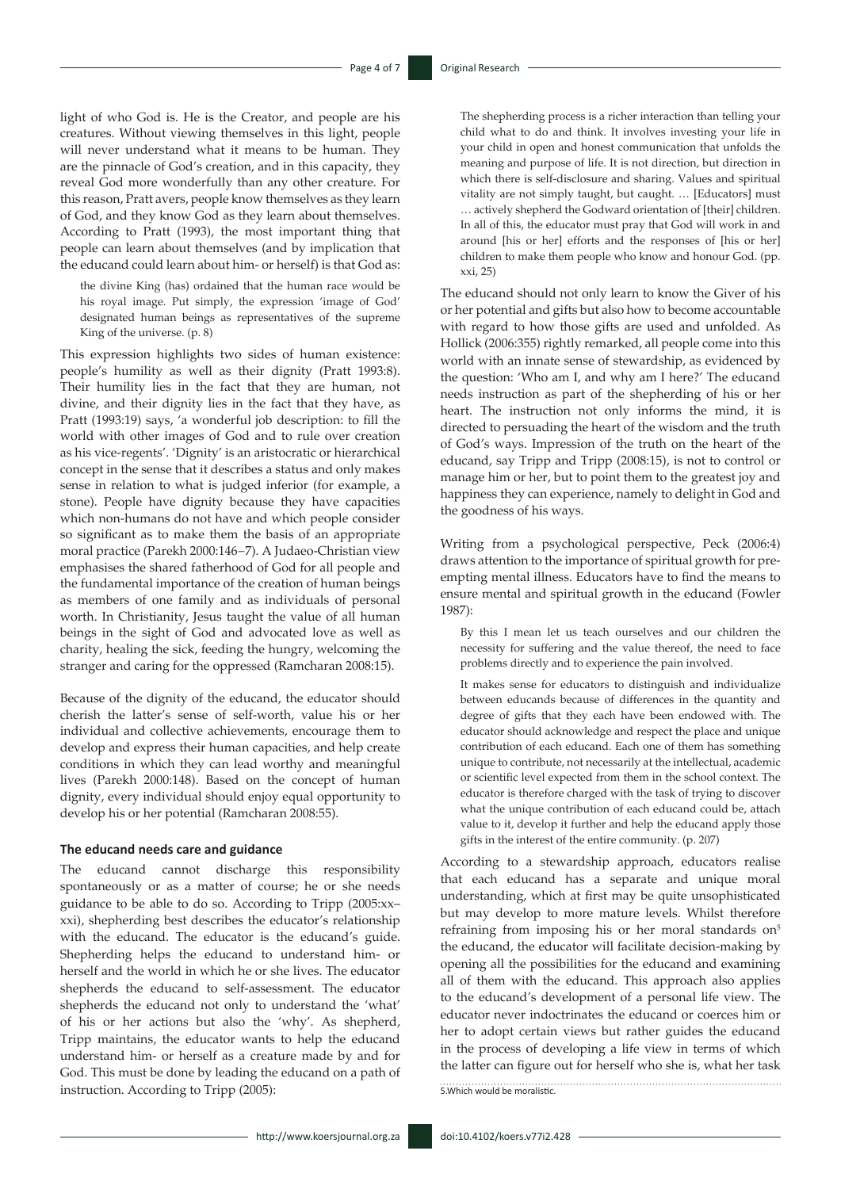light of who God is. He is the Creator, and people are his creatures. Without viewing themselves in this light, people will never understand what it means to be human. They are the pinnacle of God's creation, and in this capacity, they reveal God more wonderfully than any other creature. For this reason, Pratt avers, people know themselves as they learn of God, and they know God as they learn about themselves. According to Pratt (1993), the most important thing that people can learn about themselves (and by implication that the educand could learn about him- or herself) is that God as:

the divine King (has) ordained that the human race would be his royal image. Put simply, the expression 'image of God' designated human beings as representatives of the supreme King of the universe. (p. 8)

This expression highlights two sides of human existence: people's humility as well as their dignity (Pratt 1993:8). Their humility lies in the fact that they are human, not divine, and their dignity lies in the fact that they have, as Pratt (1993:19) says, 'a wonderful job description: to fill the world with other images of God and to rule over creation as his vice-regents'. 'Dignity' is an aristocratic or hierarchical concept in the sense that it describes a status and only makes sense in relation to what is judged inferior (for example, a stone). People have dignity because they have capacities which non-humans do not have and which people consider so significant as to make them the basis of an appropriate moral practice (Parekh 2000:146−7). A Judaeo-Christian view emphasises the shared fatherhood of God for all people and the fundamental importance of the creation of human beings as members of one family and as individuals of personal worth. In Christianity, Jesus taught the value of all human beings in the sight of God and advocated love as well as charity, healing the sick, feeding the hungry, welcoming the stranger and caring for the oppressed (Ramcharan 2008:15).

Because of the dignity of the educand, the educator should cherish the latter's sense of self-worth, value his or her individual and collective achievements, encourage them to develop and express their human capacities, and help create conditions in which they can lead worthy and meaningful lives (Parekh 2000:148). Based on the concept of human dignity, every individual should enjoy equal opportunity to develop his or her potential (Ramcharan 2008:55).

#### **The educand needs care and guidance**

The educand cannot discharge this responsibility spontaneously or as a matter of course; he or she needs guidance to be able to do so. According to Tripp (2005:xx– xxi), shepherding best describes the educator's relationship with the educand. The educator is the educand's guide. Shepherding helps the educand to understand him- or herself and the world in which he or she lives. The educator shepherds the educand to self-assessment. The educator shepherds the educand not only to understand the 'what' of his or her actions but also the 'why'. As shepherd, Tripp maintains, the educator wants to help the educand understand him- or herself as a creature made by and for God. This must be done by leading the educand on a path of instruction. According to Tripp (2005):

The shepherding process is a richer interaction than telling your child what to do and think. It involves investing your life in your child in open and honest communication that unfolds the meaning and purpose of life. It is not direction, but direction in which there is self-disclosure and sharing. Values and spiritual vitality are not simply taught, but caught. … [Educators] must … actively shepherd the Godward orientation of [their] children. In all of this, the educator must pray that God will work in and around [his or her] efforts and the responses of [his or her] children to make them people who know and honour God. (pp. xxi, 25)

The educand should not only learn to know the Giver of his or her potential and gifts but also how to become accountable with regard to how those gifts are used and unfolded. As Hollick (2006:355) rightly remarked, all people come into this world with an innate sense of stewardship, as evidenced by the question: 'Who am I, and why am I here?' The educand needs instruction as part of the shepherding of his or her heart. The instruction not only informs the mind, it is directed to persuading the heart of the wisdom and the truth of God's ways. Impression of the truth on the heart of the educand, say Tripp and Tripp (2008:15), is not to control or manage him or her, but to point them to the greatest joy and happiness they can experience, namely to delight in God and the goodness of his ways.

Writing from a psychological perspective, Peck (2006:4) draws attention to the importance of spiritual growth for preempting mental illness. Educators have to find the means to ensure mental and spiritual growth in the educand (Fowler 1987):

By this I mean let us teach ourselves and our children the necessity for suffering and the value thereof, the need to face problems directly and to experience the pain involved.

It makes sense for educators to distinguish and individualize between educands because of differences in the quantity and degree of gifts that they each have been endowed with. The educator should acknowledge and respect the place and unique contribution of each educand. Each one of them has something unique to contribute, not necessarily at the intellectual, academic or scientific level expected from them in the school context. The educator is therefore charged with the task of trying to discover what the unique contribution of each educand could be, attach value to it, develop it further and help the educand apply those gifts in the interest of the entire community. (p. 207)

According to a stewardship approach, educators realise that each educand has a separate and unique moral understanding, which at first may be quite unsophisticated but may develop to more mature levels. Whilst therefore refraining from imposing his or her moral standards on<sup>5</sup> the educand, the educator will facilitate decision-making by opening all the possibilities for the educand and examining all of them with the educand. This approach also applies to the educand's development of a personal life view. The educator never indoctrinates the educand or coerces him or her to adopt certain views but rather guides the educand in the process of developing a life view in terms of which the latter can figure out for herself who she is, what her task 5.Which would be moralistic.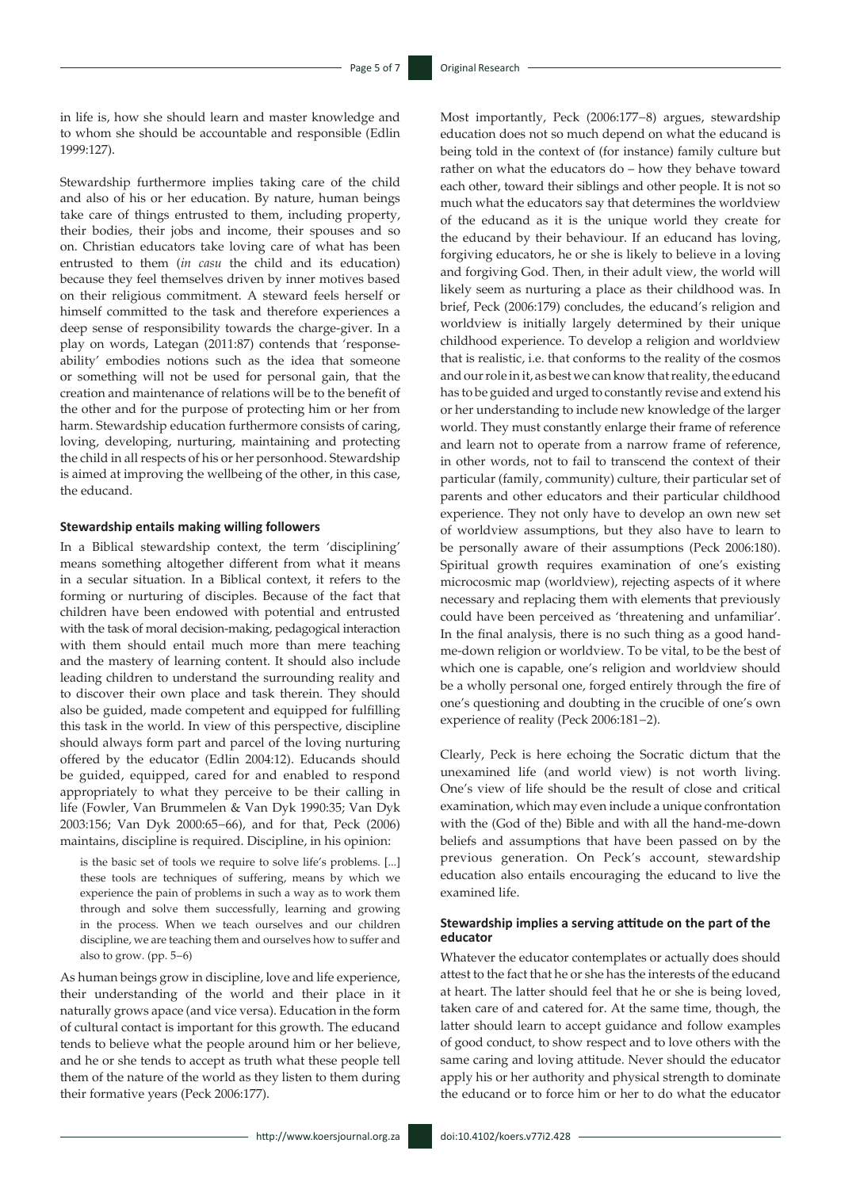in life is, how she should learn and master knowledge and to whom she should be accountable and responsible (Edlin 1999:127).

Stewardship furthermore implies taking care of the child and also of his or her education. By nature, human beings take care of things entrusted to them, including property, their bodies, their jobs and income, their spouses and so on. Christian educators take loving care of what has been entrusted to them (*in casu* the child and its education) because they feel themselves driven by inner motives based on their religious commitment. A steward feels herself or himself committed to the task and therefore experiences a deep sense of responsibility towards the charge-giver. In a play on words, Lategan (2011:87) contends that 'responseability' embodies notions such as the idea that someone or something will not be used for personal gain, that the creation and maintenance of relations will be to the benefit of the other and for the purpose of protecting him or her from harm. Stewardship education furthermore consists of caring, loving, developing, nurturing, maintaining and protecting the child in all respects of his or her personhood. Stewardship is aimed at improving the wellbeing of the other, in this case, the educand.

#### **Stewardship entails making willing followers**

In a Biblical stewardship context, the term 'disciplining' means something altogether different from what it means in a secular situation. In a Biblical context, it refers to the forming or nurturing of disciples. Because of the fact that children have been endowed with potential and entrusted with the task of moral decision-making, pedagogical interaction with them should entail much more than mere teaching and the mastery of learning content. It should also include leading children to understand the surrounding reality and to discover their own place and task therein. They should also be guided, made competent and equipped for fulfilling this task in the world. In view of this perspective, discipline should always form part and parcel of the loving nurturing offered by the educator (Edlin 2004:12). Educands should be guided, equipped, cared for and enabled to respond appropriately to what they perceive to be their calling in life (Fowler, Van Brummelen & Van Dyk 1990:35; Van Dyk 2003:156; Van Dyk 2000:65−66), and for that, Peck (2006) maintains, discipline is required. Discipline, in his opinion:

is the basic set of tools we require to solve life's problems. [...] these tools are techniques of suffering, means by which we experience the pain of problems in such a way as to work them through and solve them successfully, learning and growing in the process. When we teach ourselves and our children discipline, we are teaching them and ourselves how to suffer and also to grow. (pp. 5−6)

As human beings grow in discipline, love and life experience, their understanding of the world and their place in it naturally grows apace (and vice versa). Education in the form of cultural contact is important for this growth. The educand tends to believe what the people around him or her believe, and he or she tends to accept as truth what these people tell them of the nature of the world as they listen to them during their formative years (Peck 2006:177).

Most importantly, Peck (2006:177−8) argues, stewardship education does not so much depend on what the educand is being told in the context of (for instance) family culture but rather on what the educators do – how they behave toward each other, toward their siblings and other people. It is not so much what the educators say that determines the worldview of the educand as it is the unique world they create for the educand by their behaviour. If an educand has loving, forgiving educators, he or she is likely to believe in a loving and forgiving God. Then, in their adult view, the world will likely seem as nurturing a place as their childhood was. In brief, Peck (2006:179) concludes, the educand's religion and worldview is initially largely determined by their unique childhood experience. To develop a religion and worldview that is realistic, i.e. that conforms to the reality of the cosmos and our role in it, as best we can know that reality, the educand has to be guided and urged to constantly revise and extend his or her understanding to include new knowledge of the larger world. They must constantly enlarge their frame of reference and learn not to operate from a narrow frame of reference, in other words, not to fail to transcend the context of their particular (family, community) culture, their particular set of parents and other educators and their particular childhood experience. They not only have to develop an own new set of worldview assumptions, but they also have to learn to be personally aware of their assumptions (Peck 2006:180). Spiritual growth requires examination of one's existing microcosmic map (worldview), rejecting aspects of it where necessary and replacing them with elements that previously could have been perceived as 'threatening and unfamiliar'. In the final analysis, there is no such thing as a good handme-down religion or worldview. To be vital, to be the best of which one is capable, one's religion and worldview should be a wholly personal one, forged entirely through the fire of one's questioning and doubting in the crucible of one's own experience of reality (Peck 2006:181−2).

Clearly, Peck is here echoing the Socratic dictum that the unexamined life (and world view) is not worth living. One's view of life should be the result of close and critical examination, which may even include a unique confrontation with the (God of the) Bible and with all the hand-me-down beliefs and assumptions that have been passed on by the previous generation. On Peck's account, stewardship education also entails encouraging the educand to live the examined life.

### **Stewardship implies a serving attitude on the part of the educator**

Whatever the educator contemplates or actually does should attest to the fact that he or she has the interests of the educand at heart. The latter should feel that he or she is being loved, taken care of and catered for. At the same time, though, the latter should learn to accept guidance and follow examples of good conduct, to show respect and to love others with the same caring and loving attitude. Never should the educator apply his or her authority and physical strength to dominate the educand or to force him or her to do what the educator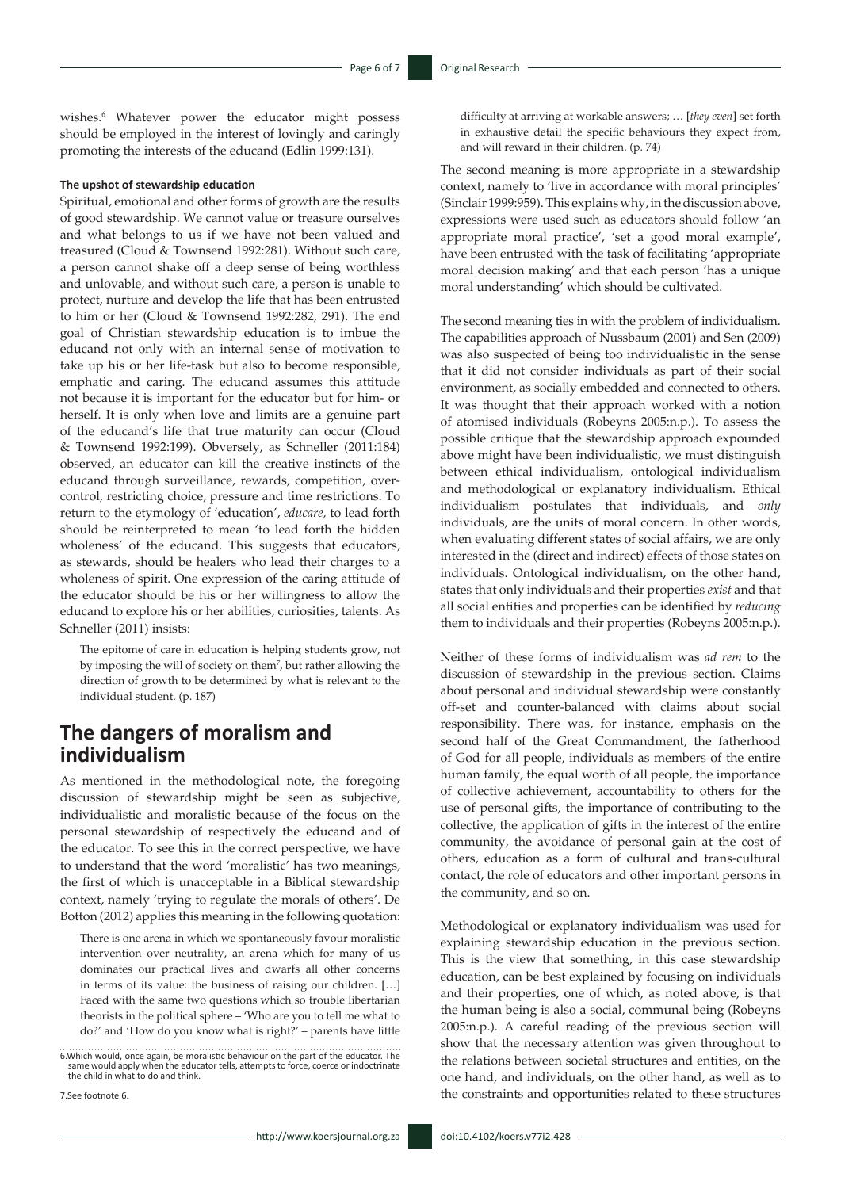wishes.<sup>6</sup> Whatever power the educator might possess should be employed in the interest of lovingly and caringly promoting the interests of the educand (Edlin 1999:131).

#### **The upshot of stewardship education**

Spiritual, emotional and other forms of growth are the results of good stewardship. We cannot value or treasure ourselves and what belongs to us if we have not been valued and treasured (Cloud & Townsend 1992:281). Without such care, a person cannot shake off a deep sense of being worthless and unlovable, and without such care, a person is unable to protect, nurture and develop the life that has been entrusted to him or her (Cloud & Townsend 1992:282, 291). The end goal of Christian stewardship education is to imbue the educand not only with an internal sense of motivation to take up his or her life-task but also to become responsible, emphatic and caring. The educand assumes this attitude not because it is important for the educator but for him- or herself. It is only when love and limits are a genuine part of the educand's life that true maturity can occur (Cloud & Townsend 1992:199). Obversely, as Schneller (2011:184) observed, an educator can kill the creative instincts of the educand through surveillance, rewards, competition, overcontrol, restricting choice, pressure and time restrictions. To return to the etymology of 'education', *educare,* to lead forth should be reinterpreted to mean 'to lead forth the hidden wholeness' of the educand. This suggests that educators, as stewards, should be healers who lead their charges to a wholeness of spirit. One expression of the caring attitude of the educator should be his or her willingness to allow the educand to explore his or her abilities, curiosities, talents. As Schneller (2011) insists:

The epitome of care in education is helping students grow, not by imposing the will of society on them<sup>7</sup>, but rather allowing the direction of growth to be determined by what is relevant to the individual student. (p. 187)

# **The dangers of moralism and individualism**

As mentioned in the methodological note, the foregoing discussion of stewardship might be seen as subjective, individualistic and moralistic because of the focus on the personal stewardship of respectively the educand and of the educator. To see this in the correct perspective, we have to understand that the word 'moralistic' has two meanings, the first of which is unacceptable in a Biblical stewardship context, namely 'trying to regulate the morals of others'. De Botton (2012) applies this meaning in the following quotation:

There is one arena in which we spontaneously favour moralistic intervention over neutrality, an arena which for many of us dominates our practical lives and dwarfs all other concerns in terms of its value: the business of raising our children. […] Faced with the same two questions which so trouble libertarian theorists in the political sphere – 'Who are you to tell me what to do?' and 'How do you know what is right?' – parents have little

6.Which would, once again, be moralistic behaviour on the part of the educator. The same would apply when the educator tells, attempts to force, coerce or indoctrinate the child in what to do and think.

7.See footnote 6.

difficulty at arriving at workable answers; … [*they even*] set forth in exhaustive detail the specific behaviours they expect from, and will reward in their children. (p. 74)

The second meaning is more appropriate in a stewardship context, namely to 'live in accordance with moral principles' (Sinclair 1999:959). This explains why, in the discussion above, expressions were used such as educators should follow 'an appropriate moral practice', 'set a good moral example', have been entrusted with the task of facilitating 'appropriate moral decision making' and that each person 'has a unique moral understanding' which should be cultivated.

The second meaning ties in with the problem of individualism. The capabilities approach of Nussbaum (2001) and Sen (2009) was also suspected of being too individualistic in the sense that it did not consider individuals as part of their social environment, as socially embedded and connected to others. It was thought that their approach worked with a notion of atomised individuals (Robeyns 2005:n.p.). To assess the possible critique that the stewardship approach expounded above might have been individualistic, we must distinguish between ethical individualism, ontological individualism and methodological or explanatory individualism. Ethical individualism postulates that individuals, and *only* individuals, are the units of moral concern. In other words, when evaluating different states of social affairs, we are only interested in the (direct and indirect) effects of those states on individuals. Ontological individualism, on the other hand, states that only individuals and their properties *exist* and that all social entities and properties can be identified by *reducing* them to individuals and their properties (Robeyns 2005:n.p.).

Neither of these forms of individualism was *ad rem* to the discussion of stewardship in the previous section. Claims about personal and individual stewardship were constantly off-set and counter-balanced with claims about social responsibility. There was, for instance, emphasis on the second half of the Great Commandment, the fatherhood of God for all people, individuals as members of the entire human family, the equal worth of all people, the importance of collective achievement, accountability to others for the use of personal gifts, the importance of contributing to the collective, the application of gifts in the interest of the entire community, the avoidance of personal gain at the cost of others, education as a form of cultural and trans-cultural contact, the role of educators and other important persons in the community, and so on.

Methodological or explanatory individualism was used for explaining stewardship education in the previous section. This is the view that something, in this case stewardship education, can be best explained by focusing on individuals and their properties, one of which, as noted above, is that the human being is also a social, communal being (Robeyns 2005:n.p.). A careful reading of the previous section will show that the necessary attention was given throughout to the relations between societal structures and entities, on the one hand, and individuals, on the other hand, as well as to the constraints and opportunities related to these structures